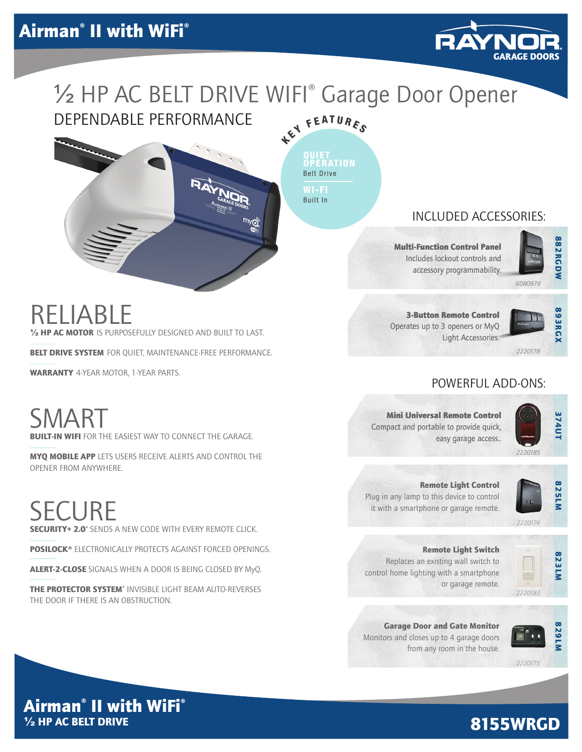

# KEY FEATURES DEPENDABLE PERFORMANCE 1/2 HP AC BELT DRIVE WIFI® Garage Door Opener

৸©

LT-IN WIFI FOR THE EASIEST WAY TO CONNECT THE GARAGE.

**MOTOR IS PURPOSEFULLY DESIGNED AND BUILT TO LAST.** 

BELT DRIVE SYSTEM FOR QUIET, MAINTENANCE-FREE PERFORMANCE.

MYQ MOBILE APP LETS USERS RECEIVE ALERTS AND CONTROL THE

SECURITY+ 2.0<sup>®</sup> SENDS A NEW CODE WITH EVERY REMOTE CLICK.

POSILOCK® ELECTRONICALLY PROTECTS AGAINST FORCED OPENINGS.

ALERT-2-CLOSE SIGNALS WHEN A DOOR IS BEING CLOSED BY MyQ.

THE PROTECTOR SYSTEM® INVISIBLE LIGHT BEAM AUTO-REVERSES

QUIET OPERATION Belt Drive WI-FI Built In

## INCLUDED ACCESSORIES:

Multi-Function Control Panel Includes lockout controls and accessory programmability.



*6080979*

3-Button Remote Control Operates up to 3 openers or MyQ Light Accessories.



*2220178*

# POWERFUL ADD-ONS:

Mini Universal Remote Control Compact and portable to provide quick, easy garage access..



Remote Light Control Plug in any lamp to this device to control it with a smartphone or garage remote.



Remote Light Switch Replaces an existing wall switch to control home lighting with a smartphone or garage remote.



Garage Door and Gate Monitor Monitors and closes up to 4 garage doors from any room in the house.



*2220175*

Airman® II with WiFi® ½ HP AC BELT DRIVE

THE DOOR IF THERE IS AN OBSTRUCTION.

SMAR<sup>T</sup>

RELIABLE

WARRANTY 4-YEAR MOTOR, 1-YEAR PARTS.

OPENER FROM ANYWHERE.

**SECURE** 

# 8155WRGD